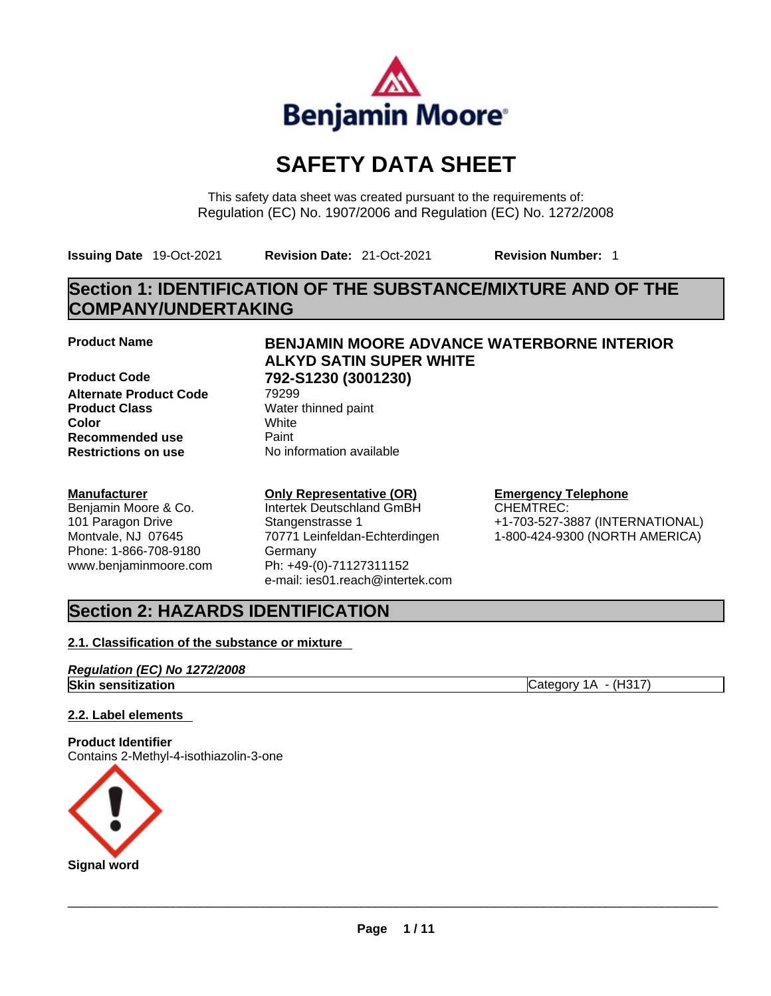

# **SAFETY DATA SHEET**

This safety data sheet was created pursuant to the requirements of: Regulation (EC) No. 1907/2006 and Regulation (EC) No. 1272/2008

**Issuing Date** 19-Oct-2021 **Revision Date:** 21-Oct-2021 **Revision Number:** 1

# **Section 1: IDENTIFICATION OF THE SUBSTANCE/MIXTURE AND OF THE COMPANY/UNDERTAKING**

**Alternate Product Code** 79299 **Product Class** Water thinned paint **Color** White **Recommended use Paint Restrictions on use** No information available

#### **Manufacturer**

Benjamin Moore & Co. 101 Paragon Drive Montvale, NJ 07645 Phone: 1-866-708-9180 www.benjaminmoore.com

## **Product Name BENJAMIN MOORE ADVANCE WATERBORNE INTERIOR ALKYD SATIN SUPER WHITE Product Code 792-S1230 (3001230)**

## **Only Representative (OR)**

Intertek Deutschland GmBH Stangenstrasse 1 70771 Leinfeldan-Echterdingen Germany Ph: +49-(0)-71127311152 e-mail: ies01.reach@intertek.com

#### **Emergency Telephone**

CHEMTREC: +1-703-527-3887 (INTERNATIONAL) 1-800-424-9300 (NORTH AMERICA)

# **Section 2: HAZARDS IDENTIFICATION**

### **2.1. Classification of the substance or mixture**

#### *Regulation (EC) No 1272/2008* **Skin sensitization** Category 1A - (H317)

### **2.2. Label elements**

**Product Identifier** Contains 2-Methyl-4-isothiazolin-3-one

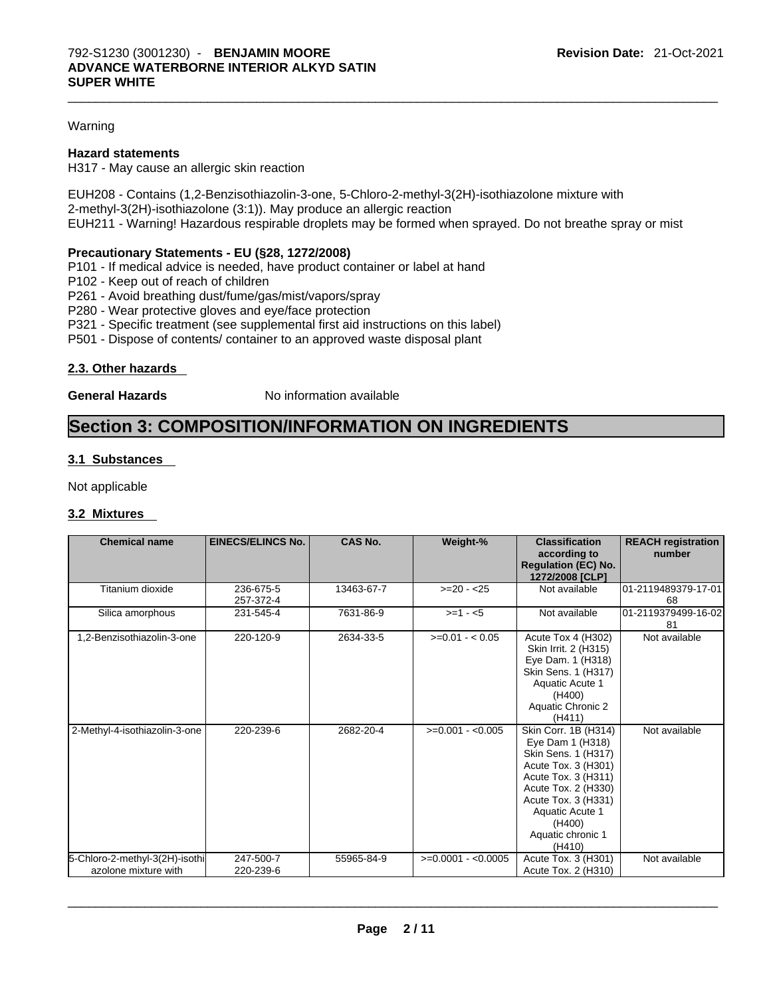#### Warning

#### **Hazard statements**

H317 - May cause an allergic skin reaction

EUH208 - Contains (1,2-Benzisothiazolin-3-one, 5-Chloro-2-methyl-3(2H)-isothiazolone mixture with 2-methyl-3(2H)-isothiazolone (3:1)). May produce an allergic reaction EUH211 - Warning! Hazardous respirable droplets may be formed when sprayed. Do not breathe spray or mist

#### **Precautionary Statements - EU (§28, 1272/2008)**

- P101 If medical advice is needed, have product container or label at hand
- P102 Keep out of reach of children
- P261 Avoid breathing dust/fume/gas/mist/vapors/spray
- P280 Wear protective gloves and eye/face protection
- P321 Specific treatment (see supplemental first aid instructions on this label)
- P501 Dispose of contents/ container to an approved waste disposal plant

#### **2.3. Other hazards**

**General Hazards No information available** 

## **Section 3: COMPOSITION/INFORMATION ON INGREDIENTS**

#### **3.1 Substances**

Not applicable

#### **3.2 Mixtures**

| <b>Chemical name</b>                                   | <b>EINECS/ELINCS No.</b> | <b>CAS No.</b> | Weight-%            | <b>Classification</b><br>according to<br><b>Regulation (EC) No.</b><br>1272/2008 [CLP]                                                                                                                                  | <b>REACH registration</b><br>number |
|--------------------------------------------------------|--------------------------|----------------|---------------------|-------------------------------------------------------------------------------------------------------------------------------------------------------------------------------------------------------------------------|-------------------------------------|
| Titanium dioxide                                       | 236-675-5<br>257-372-4   | 13463-67-7     | $>=20 - 25$         | Not available                                                                                                                                                                                                           | 01-2119489379-17-01<br>68           |
| Silica amorphous                                       | 231-545-4                | 7631-86-9      | $>= 1 - 5$          | Not available                                                                                                                                                                                                           | 01-2119379499-16-02<br>81           |
| 1,2-Benzisothiazolin-3-one                             | 220-120-9                | 2634-33-5      | $>=0.01 - 0.05$     | Acute Tox 4 (H302)<br>Skin Irrit. 2 (H315)<br>Eye Dam. 1 (H318)<br>Skin Sens. 1 (H317)<br>Aquatic Acute 1<br>(H400)<br>Aquatic Chronic 2<br>(H411)                                                                      | Not available                       |
| 2-Methyl-4-isothiazolin-3-one                          | 220-239-6                | 2682-20-4      | $>=0.001 - 0.005$   | Skin Corr. 1B (H314)<br>Eye Dam 1 (H318)<br>Skin Sens. 1 (H317)<br>Acute Tox. 3 (H301)<br>Acute Tox. 3 (H311)<br>Acute Tox. 2 (H330)<br>Acute Tox. 3 (H331)<br>Aquatic Acute 1<br>(H400)<br>Aquatic chronic 1<br>(H410) | Not available                       |
| 5-Chloro-2-methyl-3(2H)-isothi<br>azolone mixture with | 247-500-7<br>220-239-6   | 55965-84-9     | $>=0.0001 - 0.0005$ | Acute Tox. 3 (H301)<br>Acute Tox. 2 (H310)                                                                                                                                                                              | Not available                       |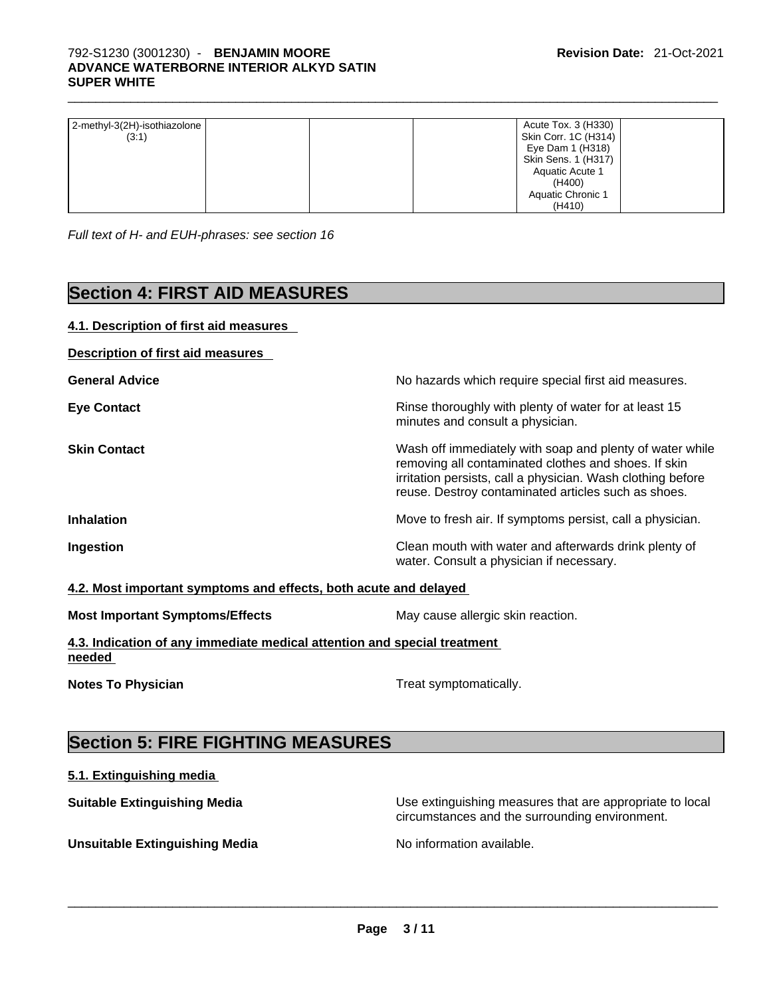| 2-methyl-3(2H)-isothiazolone | Acute Tox. 3 (H330)  |
|------------------------------|----------------------|
| (3:1)                        | Skin Corr. 1C (H314) |
|                              | Eye Dam 1 (H318)     |
|                              | Skin Sens. 1 (H317)  |
|                              | Aquatic Acute 1      |
|                              | (H400)               |
|                              | Aquatic Chronic 1    |
|                              | (H410)               |

*Full text of H- and EUH-phrases: see section 16* 

# **Section 4: FIRST AID MEASURES**

# **4.1. Description of first aid measures Description of first aid measures General Advice No hazards which require special first aid measures.** No hazards which require special first aid measures. **Eye Contact <b>Ringell Rinse thoroughly with plenty of water for at least 15** minutes and consult a physician. **Skin Contact Nationally Skin Contact Contact Wash off immediately with soap and plenty of water while** removing all contaminated clothes and shoes. If skin irritation persists, call a physician. Wash clothing before reuse. Destroy contaminated articles such as shoes. **Inhalation Inhalation Move to fresh air.** If symptoms persist, call a physician. **Ingestion Ingestion Clean mouth with water and afterwards drink plenty of** water. Consult a physician if necessary. **4.2. Most important symptoms and effects, both acute and delayed Most Important Symptoms/Effects** May cause allergic skin reaction. **4.3. Indication of any immediate medical attention and special treatment needed**

**Notes To Physician Treat symptomatically.** 

# **Section 5: FIRE FIGHTING MEASURES**

### **5.1. Extinguishing media**

**Suitable Extinguishing Media** Manual Use extinguishing measures that are appropriate to local

circumstances and the surrounding environment.

**Unsuitable Extinguishing Media** No information available. \_\_\_\_\_\_\_\_\_\_\_\_\_\_\_\_\_\_\_\_\_\_\_\_\_\_\_\_\_\_\_\_\_\_\_\_\_\_\_\_\_\_\_\_\_\_\_\_\_\_\_\_\_\_\_\_\_\_\_\_\_\_\_\_\_\_\_\_\_\_\_\_\_\_\_\_\_\_\_\_\_\_\_\_\_\_\_\_\_\_\_\_\_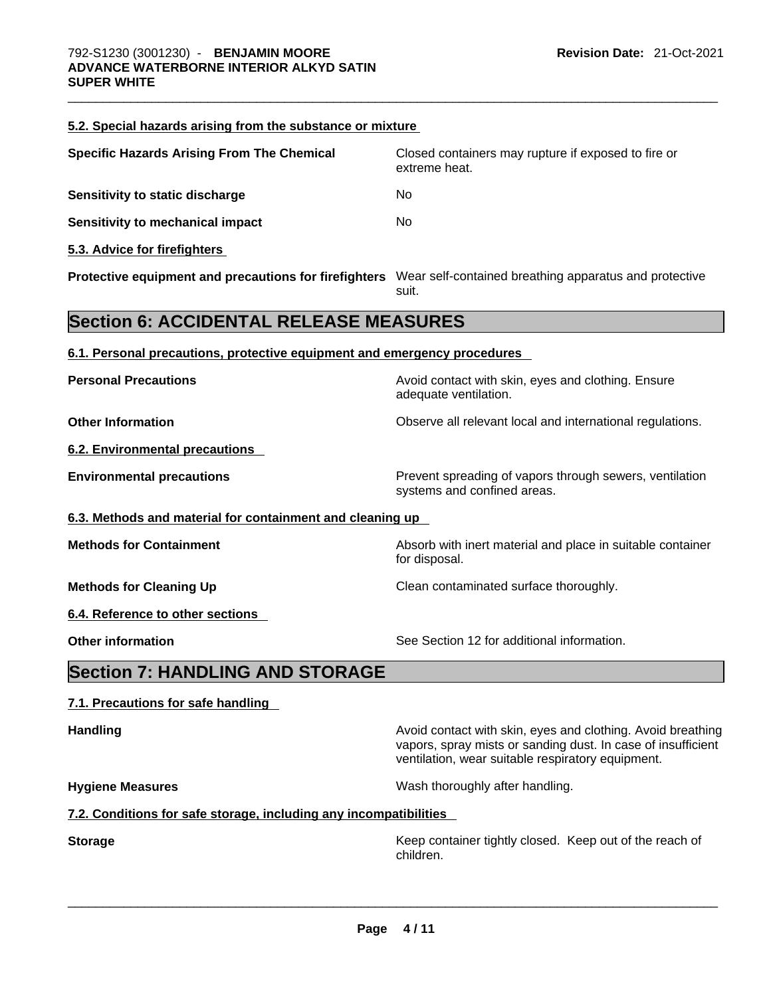| 5.2. Special hazards arising from the substance or mixture                                                   |                                                                                                                                                                                  |
|--------------------------------------------------------------------------------------------------------------|----------------------------------------------------------------------------------------------------------------------------------------------------------------------------------|
| <b>Specific Hazards Arising From The Chemical</b>                                                            | Closed containers may rupture if exposed to fire or<br>extreme heat.                                                                                                             |
| Sensitivity to static discharge                                                                              | No.                                                                                                                                                                              |
| <b>Sensitivity to mechanical impact</b>                                                                      | No                                                                                                                                                                               |
| 5.3. Advice for firefighters                                                                                 |                                                                                                                                                                                  |
| Protective equipment and precautions for firefighters Wear self-contained breathing apparatus and protective | suit.                                                                                                                                                                            |
| <b>Section 6: ACCIDENTAL RELEASE MEASURES</b>                                                                |                                                                                                                                                                                  |
| 6.1. Personal precautions, protective equipment and emergency procedures                                     |                                                                                                                                                                                  |
| <b>Personal Precautions</b>                                                                                  | Avoid contact with skin, eyes and clothing. Ensure<br>adequate ventilation.                                                                                                      |
| <b>Other Information</b>                                                                                     | Observe all relevant local and international regulations.                                                                                                                        |
| 6.2. Environmental precautions                                                                               |                                                                                                                                                                                  |
| <b>Environmental precautions</b>                                                                             | Prevent spreading of vapors through sewers, ventilation<br>systems and confined areas.                                                                                           |
| 6.3. Methods and material for containment and cleaning up                                                    |                                                                                                                                                                                  |
| <b>Methods for Containment</b>                                                                               | Absorb with inert material and place in suitable container<br>for disposal.                                                                                                      |
| <b>Methods for Cleaning Up</b>                                                                               | Clean contaminated surface thoroughly.                                                                                                                                           |
| 6.4. Reference to other sections                                                                             |                                                                                                                                                                                  |
| <b>Other information</b>                                                                                     | See Section 12 for additional information.                                                                                                                                       |
| <b>Section 7: HANDLING AND STORAGE</b>                                                                       |                                                                                                                                                                                  |
| 7.1. Precautions for safe handling                                                                           |                                                                                                                                                                                  |
| <b>Handling</b>                                                                                              | Avoid contact with skin, eyes and clothing. Avoid breathing<br>vapors, spray mists or sanding dust. In case of insufficient<br>ventilation, wear suitable respiratory equipment. |
| <b>Hygiene Measures</b>                                                                                      | Wash thoroughly after handling.                                                                                                                                                  |
| 7.2. Conditions for safe storage, including any incompatibilities                                            |                                                                                                                                                                                  |
| <b>Storage</b>                                                                                               | Keep container tightly closed. Keep out of the reach of<br>children.                                                                                                             |
|                                                                                                              |                                                                                                                                                                                  |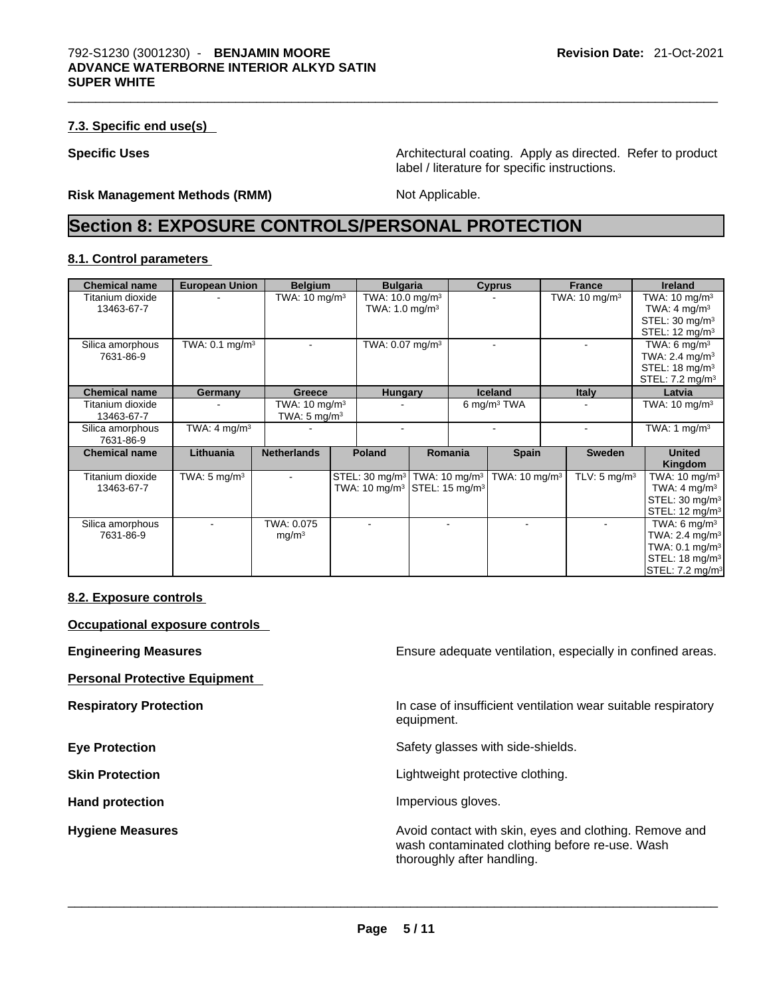#### **7.3. Specific end use(s)**

**Specific Uses <b>Specific Uses Architectural coating. Apply as directed. Refer to product Specific Uses** label / literature for specific instructions.

#### **Risk Management Methods (RMM)** Not Applicable.

# **Section 8: EXPOSURE CONTROLS/PERSONAL PROTECTION**

#### **8.1. Control parameters**

| <b>Chemical name</b>           | <b>European Union</b>        | <b>Belgium</b>                                      | <b>Bulgaria</b>                                                                                            |         | <b>Cyprus</b>            | <b>France</b>            | <b>Ireland</b>                                                                                                                        |
|--------------------------------|------------------------------|-----------------------------------------------------|------------------------------------------------------------------------------------------------------------|---------|--------------------------|--------------------------|---------------------------------------------------------------------------------------------------------------------------------------|
| Titanium dioxide<br>13463-67-7 |                              | TWA: $10 \text{ mg/m}^3$                            | TWA: $10.0 \text{ mg/m}^3$<br>TWA: $1.0 \text{ mg/m}^3$                                                    |         |                          | TWA: $10 \text{ mg/m}^3$ | TWA: $10 \text{ mg/m}^3$<br>TWA: 4 mg/m <sup>3</sup><br>STEL: 30 mg/m <sup>3</sup>                                                    |
|                                |                              |                                                     |                                                                                                            |         |                          |                          | STEL: $12 \text{ mg/m}^3$                                                                                                             |
| Silica amorphous<br>7631-86-9  | TWA: $0.1$ mg/m <sup>3</sup> |                                                     | TWA: $0.07$ mg/m <sup>3</sup>                                                                              |         |                          |                          | TWA: 6 $mq/m3$<br>TWA: $2.4 \text{ mg/m}^3$                                                                                           |
|                                |                              |                                                     |                                                                                                            |         |                          |                          | STEL: $18 \text{ mq/m}^3$<br>STEL: 7.2 mg/m <sup>3</sup>                                                                              |
| <b>Chemical name</b>           | Germany                      | Greece                                              | <b>Hungary</b>                                                                                             |         | <b>Iceland</b>           | <b>Italy</b>             | Latvia                                                                                                                                |
| Titanium dioxide<br>13463-67-7 |                              | TWA: $10 \text{ mg/m}^3$<br>TWA: $5 \text{ mg/m}^3$ |                                                                                                            |         | 6 mg/m <sup>3</sup> TWA  |                          | TWA: $10 \text{ mg/m}^3$                                                                                                              |
| Silica amorphous<br>7631-86-9  | TWA: $4 \text{ mq/m}^3$      |                                                     |                                                                                                            |         |                          |                          | TWA: 1 $mg/m3$                                                                                                                        |
| <b>Chemical name</b>           | Lithuania                    | <b>Netherlands</b>                                  | Poland                                                                                                     | Romania | <b>Spain</b>             | <b>Sweden</b>            | <b>United</b><br>Kingdom                                                                                                              |
| Titanium dioxide<br>13463-67-7 | TWA: $5 \text{ mg/m}^3$      |                                                     | STEL: 30 mg/m <sup>3</sup> TWA: 10 mg/m <sup>3</sup><br>TWA: $10 \text{ mg/m}^3$ STEL: $15 \text{ mg/m}^3$ |         | TWA: $10 \text{ mg/m}^3$ | TLV: $5 \text{ mg/m}^3$  | TWA: $10 \text{ mg/m}^3$<br>TWA: $4 \text{ mg/m}^3$<br>STEL: 30 mg/m <sup>3</sup><br>STEL: 12 mg/m <sup>3</sup>                       |
| Silica amorphous<br>7631-86-9  |                              | TWA: 0.075<br>mg/m <sup>3</sup>                     |                                                                                                            |         |                          |                          | TWA: 6 $mq/m3$<br>TWA: $2.4 \text{ mg/m}^3$<br>TWA: $0.1 \text{ mg/m}^3$<br>STEL: 18 mg/m <sup>3</sup><br>STEL: 7.2 mg/m <sup>3</sup> |

#### **8.2. Exposure controls**

**Occupational exposure controls** 

**Personal Protective Equipment** 

**Engineering Measures Ensure 2018** Ensure adequate ventilation, especially in confined areas.

**Respiratory Protection In case of insufficient ventilation wear suitable respiratory** equipment.

**Eye Protection <b>Exercise Eye** Protection **Safety glasses with side-shields.** 

**Skin Protection Contract Contract Contract Contract Contract Contract Contract Contract Contract Contract Contract Contract Contract Contract Contract Contract Contract Contract Contract Contract Contract Contract Contr** 

Hand protection **Impervious** gloves.

**Hygiene Measures Avoid contact with skin, eyes and clothing. Remove and Avoid contact with skin, eyes and clothing. Remove and** wash contaminated clothing before re-use. Wash thoroughly after handling. \_\_\_\_\_\_\_\_\_\_\_\_\_\_\_\_\_\_\_\_\_\_\_\_\_\_\_\_\_\_\_\_\_\_\_\_\_\_\_\_\_\_\_\_\_\_\_\_\_\_\_\_\_\_\_\_\_\_\_\_\_\_\_\_\_\_\_\_\_\_\_\_\_\_\_\_\_\_\_\_\_\_\_\_\_\_\_\_\_\_\_\_\_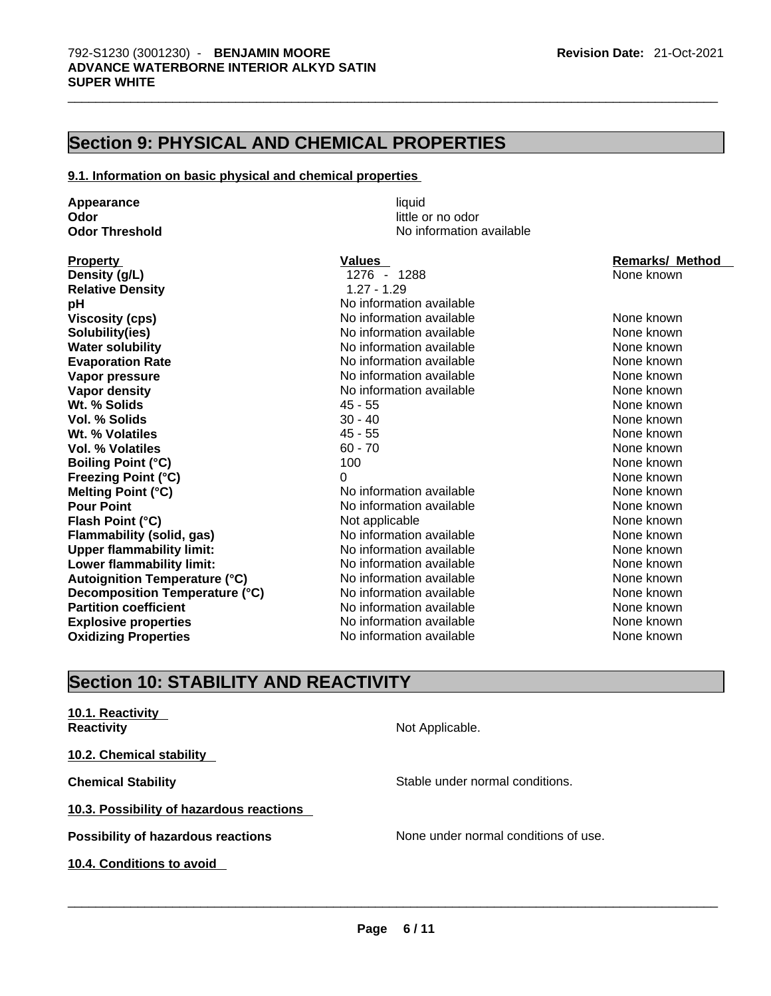## **Section 9: PHYSICAL AND CHEMICAL PROPERTIES**

#### **9.1. Information on basic physical and chemical properties**

**Appearance liquid**<br> **Odor** little c **Odor** little or no odor

**Density (g/L) Relative Density Viscosity (cps) Solubility(ies) Water solubility Evaporation Rate Vapor pressure Vapor density<br>Wt. % Solids Vol. % Solids Wt. % Volatiles Vol. % Volatiles Boiling Point (°C) Freezing Point (°C) Melting Point (°C) Flash Point (°C) Flammability** (solid, gas) **Upper flammability limit: Lower flammability limit: Autoignition Temperature (°C) Decomposition Temperature (°C) Partition coefficient Explosive properties** The South Communist School and None Known<br> **Oxidizing Properties** None Known<br>
None known **Oxidizing Properties** 

**No information available** 

| <b>Property</b>                  | Values                   | <b>Remarks/ Method</b> |
|----------------------------------|--------------------------|------------------------|
| Density (g/L)                    | 1276 - 1288              | None known             |
| <b>Relative Density</b>          | $1.27 - 1.29$            |                        |
| рH                               | No information available |                        |
| Viscosity (cps)                  | No information available | None known             |
| Solubility(ies)                  | No information available | None known             |
| <b>Water solubility</b>          | No information available | None known             |
| <b>Evaporation Rate</b>          | No information available | None known             |
| Vapor pressure                   | No information available | None known             |
| Vapor density                    | No information available | None known             |
| Wt. % Solids                     | 45 - 55                  | None known             |
| Vol. % Solids                    | $30 - 40$                | None known             |
| Wt. % Volatiles                  | 45 - 55                  | None known             |
| Vol. % Volatiles                 | $60 - 70$                | None known             |
| <b>Boiling Point (°C)</b>        | 100                      | None known             |
| Freezing Point (°C)              | 0                        | None known             |
| Melting Point (°C)               | No information available | None known             |
| <b>Pour Point</b>                | No information available | None known             |
| Flash Point (°C)                 | Not applicable           | None known             |
| Flammability (solid, gas)        | No information available | None known             |
| <b>Upper flammability limit:</b> | No information available | None known             |
| Lower flammability limit:        | No information available | None known             |
| Autoignition Temperature (°C)    | No information available | None known             |
| Decomposition Temperature (°C)   | No information available | None known             |
| <b>Partition coefficient</b>     | No information available | None known             |
| Explosive properties             | No information available | None known             |

# **Section 10: STABILITY AND REACTIVITY**

| 10.1. Reactivity<br><b>Reactivity</b>     | Not Applicable.                      |
|-------------------------------------------|--------------------------------------|
| 10.2. Chemical stability                  |                                      |
| <b>Chemical Stability</b>                 | Stable under normal conditions.      |
| 10.3. Possibility of hazardous reactions  |                                      |
| <b>Possibility of hazardous reactions</b> | None under normal conditions of use. |
| 10.4. Conditions to avoid                 |                                      |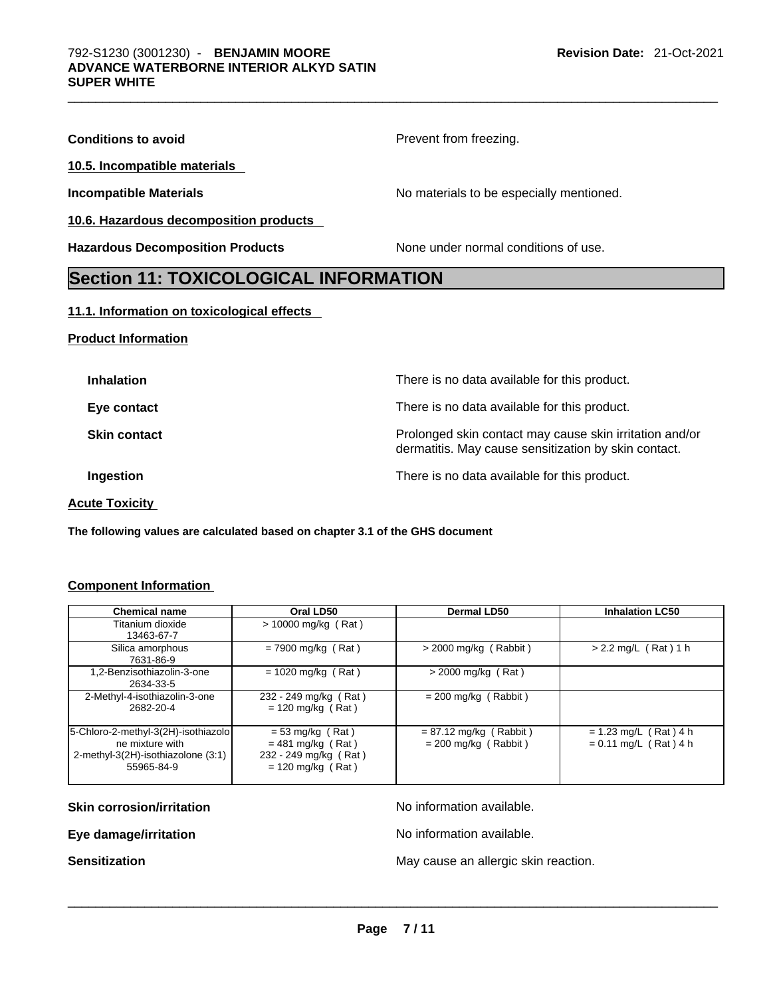| <b>Section 11: TOXICOLOGICAL INFORMATION</b> |                                          |
|----------------------------------------------|------------------------------------------|
| <b>Hazardous Decomposition Products</b>      | None under normal conditions of use.     |
| 10.6. Hazardous decomposition products       |                                          |
| <b>Incompatible Materials</b>                | No materials to be especially mentioned. |
| 10.5. Incompatible materials                 |                                          |
| <b>Conditions to avoid</b>                   | Prevent from freezing.                   |

#### **11.1. Information on toxicological effects**

#### **Product Information**

| <b>Inhalation</b>     | There is no data available for this product.                                                                    |
|-----------------------|-----------------------------------------------------------------------------------------------------------------|
| Eye contact           | There is no data available for this product.                                                                    |
| <b>Skin contact</b>   | Prolonged skin contact may cause skin irritation and/or<br>dermatitis. May cause sensitization by skin contact. |
| Ingestion             | There is no data available for this product.                                                                    |
| <b>Acute Toxicity</b> |                                                                                                                 |

**The following values are calculated based on chapter 3.1 of the GHS document**

### **Component Information**

| <b>Chemical name</b>                                                                                       | Oral LD50                                                                                 | Dermal LD50                                        | <b>Inhalation LC50</b>                             |
|------------------------------------------------------------------------------------------------------------|-------------------------------------------------------------------------------------------|----------------------------------------------------|----------------------------------------------------|
| Titanium dioxide<br>13463-67-7                                                                             | $> 10000$ mg/kg (Rat)                                                                     |                                                    |                                                    |
| Silica amorphous<br>7631-86-9                                                                              | $= 7900$ mg/kg (Rat)                                                                      | $>$ 2000 mg/kg (Rabbit)                            | $> 2.2$ mg/L (Rat) 1 h                             |
| 1,2-Benzisothiazolin-3-one<br>2634-33-5                                                                    | $= 1020$ mg/kg (Rat)                                                                      | $>$ 2000 mg/kg (Rat)                               |                                                    |
| 2-Methyl-4-isothiazolin-3-one<br>2682-20-4                                                                 | 232 - 249 mg/kg (Rat)<br>$= 120$ mg/kg (Rat)                                              | $= 200$ mg/kg (Rabbit)                             |                                                    |
| 5-Chloro-2-methyl-3(2H)-isothiazolo<br>ne mixture with<br>2-methyl-3(2H)-isothiazolone (3:1)<br>55965-84-9 | $= 53$ mg/kg (Rat)<br>$= 481$ mg/kg (Rat)<br>232 - 249 mg/kg (Rat)<br>$= 120$ mg/kg (Rat) | $= 87.12$ mg/kg (Rabbit)<br>$= 200$ mg/kg (Rabbit) | $= 1.23$ mg/L (Rat) 4 h<br>$= 0.11$ mg/L (Rat) 4 h |

**Skin corrosion/irritation** No information available.

**Eye damage/irritation Eye damage/irritation No information available.** 

**Sensitization** May cause an allergic skin reaction. \_\_\_\_\_\_\_\_\_\_\_\_\_\_\_\_\_\_\_\_\_\_\_\_\_\_\_\_\_\_\_\_\_\_\_\_\_\_\_\_\_\_\_\_\_\_\_\_\_\_\_\_\_\_\_\_\_\_\_\_\_\_\_\_\_\_\_\_\_\_\_\_\_\_\_\_\_\_\_\_\_\_\_\_\_\_\_\_\_\_\_\_\_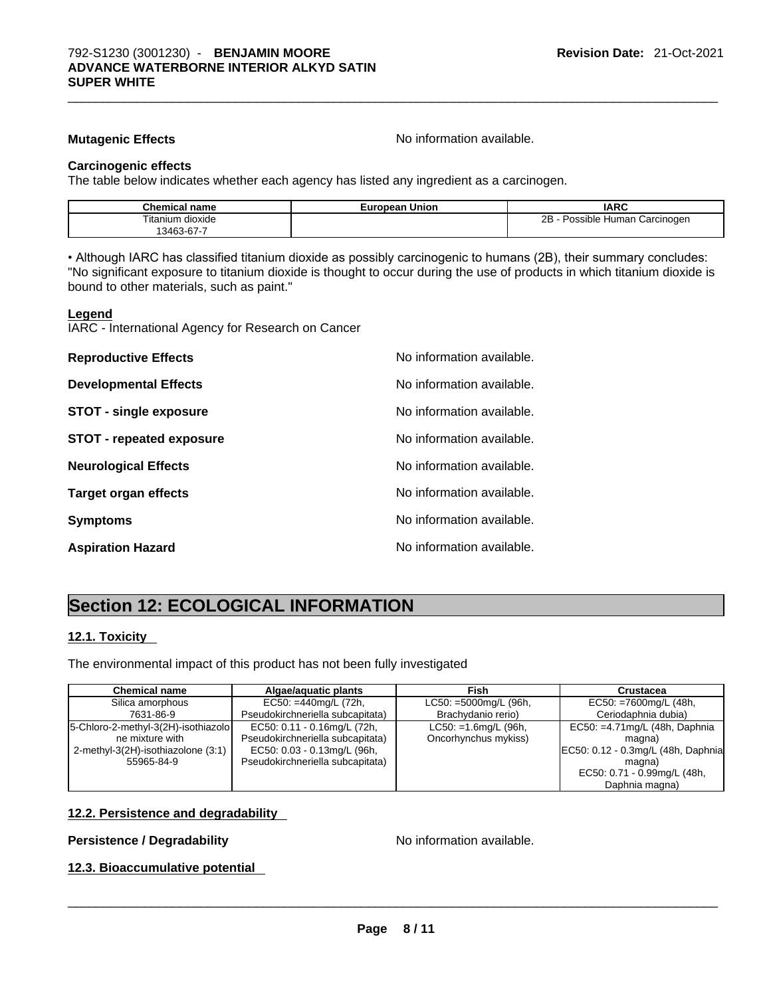**Mutagenic Effects Mutagenic Effects No information available.** 

#### **Carcinogenic effects**

The table below indicates whether each agency has listed any ingredient as a carcinogen.

| <b>Chemical name</b> | <b>European Union</b> | <b>IARC</b>                             |
|----------------------|-----------------------|-----------------------------------------|
| Titanium dioxide     |                       | 2R<br>· Possible Human Carcinogen<br>20 |
| '3463-67-7           |                       |                                         |

• Although IARC has classified titanium dioxide as possibly carcinogenic to humans (2B), their summary concludes: "No significant exposure to titanium dioxide is thought to occur during the use of products in which titanium dioxide is bound to other materials, such as paint."

#### **Legend**

IARC - International Agency for Research on Cancer

| <b>Reproductive Effects</b>     | No information available. |
|---------------------------------|---------------------------|
| <b>Developmental Effects</b>    | No information available. |
| <b>STOT - single exposure</b>   | No information available. |
| <b>STOT - repeated exposure</b> | No information available. |
| <b>Neurological Effects</b>     | No information available. |
| <b>Target organ effects</b>     | No information available. |
| <b>Symptoms</b>                 | No information available. |
| <b>Aspiration Hazard</b>        | No information available. |

# **Section 12: ECOLOGICAL INFORMATION**

#### **12.1. Toxicity**

The environmental impact of this product has not been fully investigated

| <b>Chemical name</b>                  | Algae/aquatic plants             | Fish                    | Crustacea                          |
|---------------------------------------|----------------------------------|-------------------------|------------------------------------|
| Silica amorphous                      | $EC50: = 440$ mg/L (72h,         | LC50: =5000mg/L (96h,   | $EC50: = 7600mg/L (48h,$           |
| 7631-86-9                             | Pseudokirchneriella subcapitata) | Brachydanio rerio)      | Ceriodaphnia dubia)                |
| [5-Chloro-2-methyl-3(2H)-isothiazolo] | EC50: 0.11 - 0.16mg/L (72h,      | $LC50: =1.6$ mg/L (96h, | EC50: $=4.71$ mg/L (48h, Daphnia   |
| ne mixture with                       | Pseudokirchneriella subcapitata) | Oncorhynchus mykiss)    | magna)                             |
| 2-methyl-3(2H)-isothiazolone (3:1)    | EC50: 0.03 - 0.13mg/L (96h,      |                         | EC50: 0.12 - 0.3mg/L (48h, Daphnia |
| 55965-84-9                            | Pseudokirchneriella subcapitata) |                         | magna)                             |
|                                       |                                  |                         | EC50: 0.71 - 0.99mg/L (48h,        |
|                                       |                                  |                         | Daphnia magna)                     |

#### **12.2. Persistence and degradability**

# **Persistence / Degradability** No information available. \_\_\_\_\_\_\_\_\_\_\_\_\_\_\_\_\_\_\_\_\_\_\_\_\_\_\_\_\_\_\_\_\_\_\_\_\_\_\_\_\_\_\_\_\_\_\_\_\_\_\_\_\_\_\_\_\_\_\_\_\_\_\_\_\_\_\_\_\_\_\_\_\_\_\_\_\_\_\_\_\_\_\_\_\_\_\_\_\_\_\_\_\_ **12.3. Bioaccumulative potential**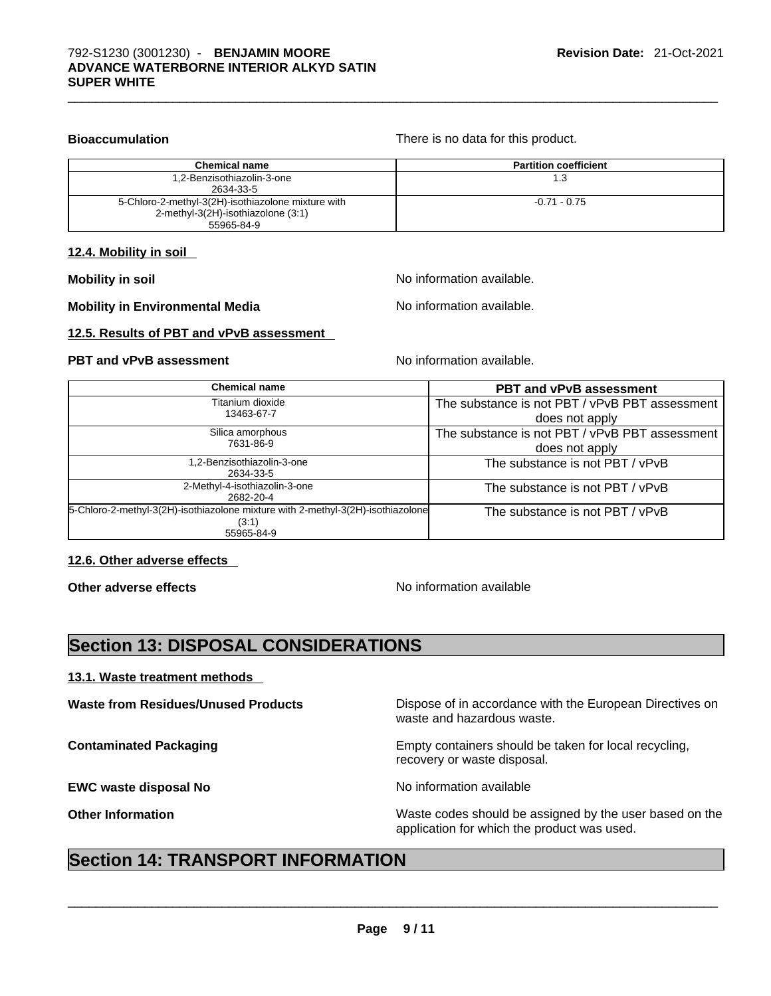**Bioaccumulation Bioaccumulation There is no data for this product.** 

| <b>Chemical name</b>                               | <b>Partition coefficient</b> |
|----------------------------------------------------|------------------------------|
| 1,2-Benzisothiazolin-3-one                         | 1.3                          |
| 2634-33-5                                          |                              |
| 5-Chloro-2-methyl-3(2H)-isothiazolone mixture with | $-0.71 - 0.75$               |
| 2-methyl-3(2H)-isothiazolone (3:1)                 |                              |
| 55965-84-9                                         |                              |

#### **12.4. Mobility in soil**

**Mobility** in soil **Mobility** in soil

**Mobility** in Environmental Media North Monomation available.

**12.5. Results of PBT and vPvB assessment** 

#### **PBT** and **vPvB** assessment **Notify Apple 2012** No information available.

| <b>Chemical name</b>                                                                                   | <b>PBT and vPvB assessment</b>                                   |
|--------------------------------------------------------------------------------------------------------|------------------------------------------------------------------|
| Titanium dioxide<br>13463-67-7                                                                         | The substance is not PBT / vPvB PBT assessment<br>does not apply |
| Silica amorphous<br>7631-86-9                                                                          | The substance is not PBT / vPvB PBT assessment<br>does not apply |
| 1,2-Benzisothiazolin-3-one<br>2634-33-5                                                                | The substance is not PBT / vPvB                                  |
| 2-Methyl-4-isothiazolin-3-one<br>2682-20-4                                                             | The substance is not PBT / vPvB                                  |
| 5-Chloro-2-methyl-3(2H)-isothiazolone mixture with 2-methyl-3(2H)-isothiazolone<br>(3:1)<br>55965-84-9 | The substance is not PBT / vPvB                                  |

#### **12.6. Other adverse effects**

**Other adverse effects No information available** 

# **Section 13: DISPOSAL CONSIDERATIONS**

#### **13.1. Waste treatment methods**

**EWC waste disposal No** No information available

**Waste from Residues/Unused Products** Dispose of in accordance with the European Directives on waste and hazardous waste.

**Contaminated Packaging <b>EMP** Empty containers should be taken for local recycling, recovery or waste disposal.

**Other Information** Maste codes should be assigned by the user based on the user based on the

# application for which the product was used. \_\_\_\_\_\_\_\_\_\_\_\_\_\_\_\_\_\_\_\_\_\_\_\_\_\_\_\_\_\_\_\_\_\_\_\_\_\_\_\_\_\_\_\_\_\_\_\_\_\_\_\_\_\_\_\_\_\_\_\_\_\_\_\_\_\_\_\_\_\_\_\_\_\_\_\_\_\_\_\_\_\_\_\_\_\_\_\_\_\_\_\_\_ **Section 14: TRANSPORT INFORMATION**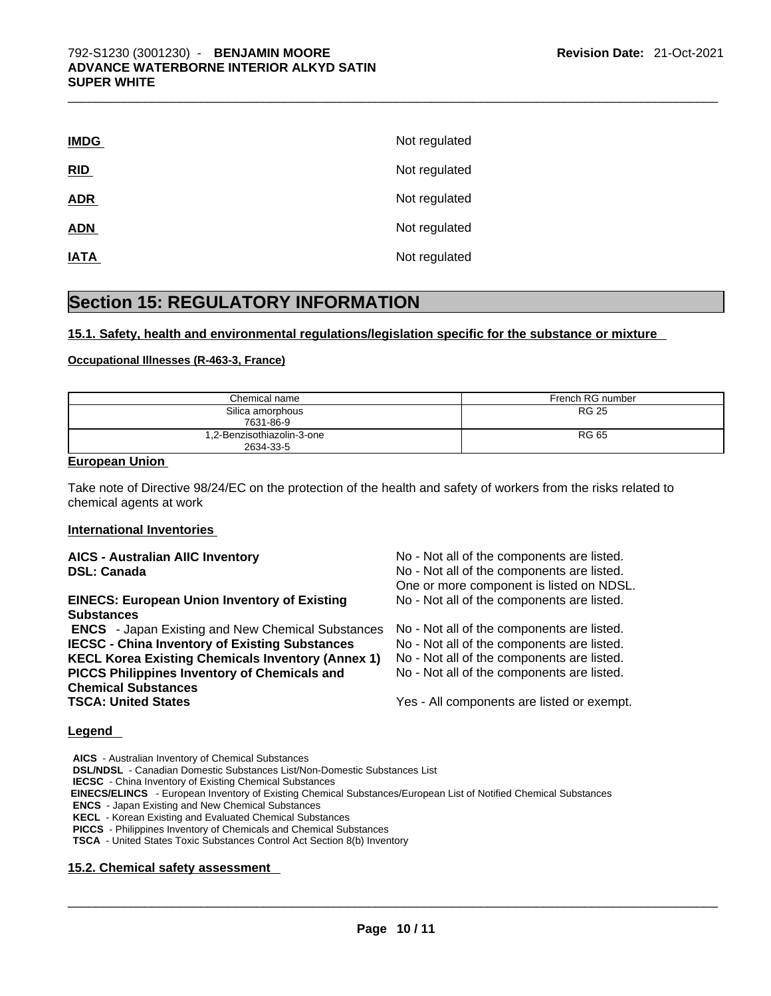| <b>IMDG</b> | Not regulated |
|-------------|---------------|
| RID         | Not regulated |
| <b>ADR</b>  | Not regulated |
| <b>ADN</b>  | Not regulated |
| <b>IATA</b> | Not regulated |

# **Section 15: REGULATORY INFORMATION**

#### **15.1. Safety, health and environmental regulations/legislation specific for the substance or mixture**

#### **Occupational Illnesses (R-463-3, France)**

| Chemical name                           | French RG number |
|-----------------------------------------|------------------|
| Silica amorphous<br>7631-86-9           | <b>RG 25</b>     |
| 1,2-Benzisothiazolin-3-one<br>2634-33-5 | <b>RG 65</b>     |

#### **European Union**

Take note of Directive 98/24/EC on the protection of the health and safety of workers from the risks related to chemical agents at work

#### **International Inventories**

#### **AICS - Australian AIIC Inventory** No - Not all of the components are listed. **DSL: Canada No - Not all of the components are listed.** No - Not all of the components are listed. One or more component is listed on NDSL. **EINECS: European Union Inventory of Existing Substances**  No - Not all of the components are listed.  **ENCS** - Japan Existing and New Chemical Substances No - Not all of the components are listed. **IECSC - China Inventory of Existing Substances** No - Not all of the components are listed. **KECL Korea Existing Chemicals Inventory (Annex 1)** No - Not all of the components are listed. **PICCS Philippines Inventory of Chemicals and Chemical Substances**  No - Not all of the components are listed. **TSCA: United States** Yes - All components are listed or exempt. **Legend**

**AICS** - Australian Inventory of Chemical Substances **DSL/NDSL** - Canadian Domestic Substances List/Non-Domestic Substances List

**IECSC** - China Inventory of Existing Chemical Substances

 **EINECS/ELINCS** - European Inventory of Existing Chemical Substances/European List of Notified Chemical Substances

**ENCS** - Japan Existing and New Chemical Substances

**KECL** - Korean Existing and Evaluated Chemical Substances

**PICCS** - Philippines Inventory of Chemicals and Chemical Substances

**TSCA** - United States Toxic Substances Control Act Section 8(b) Inventory

#### **15.2. Chemical safety assessment**